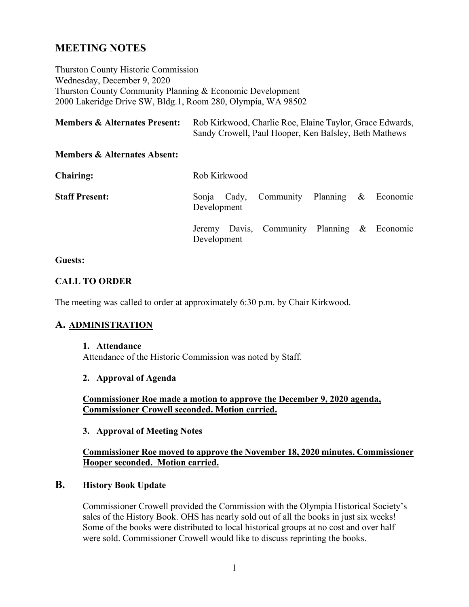# **MEETING NOTES**

Thurston County Historic Commission Wednesday, December 9, 2020 Thurston County Community Planning & Economic Development 2000 Lakeridge Drive SW, Bldg.1, Room 280, Olympia, WA 98502

| <b>Members &amp; Alternates Present:</b> | Rob Kirkwood, Charlie Roe, Elaine Taylor, Grace Edwards, |
|------------------------------------------|----------------------------------------------------------|
|                                          | Sandy Crowell, Paul Hooper, Ken Balsley, Beth Mathews    |

### **Members & Alternates Absent:**

| <b>Chairing:</b>      | Rob Kirkwood |  |                                             |  |  |  |  |
|-----------------------|--------------|--|---------------------------------------------|--|--|--|--|
| <b>Staff Present:</b> | Development  |  | Sonja Cady, Community Planning & Economic   |  |  |  |  |
|                       | Development  |  | Jeremy Davis, Community Planning & Economic |  |  |  |  |

### **Guests:**

### **CALL TO ORDER**

The meeting was called to order at approximately 6:30 p.m. by Chair Kirkwood.

### **A. ADMINISTRATION**

#### **1. Attendance**

Attendance of the Historic Commission was noted by Staff.

### **2. Approval of Agenda**

**Commissioner Roe made a motion to approve the December 9, 2020 agenda, Commissioner Crowell seconded. Motion carried.** 

### **3. Approval of Meeting Notes**

### **Commissioner Roe moved to approve the November 18, 2020 minutes. Commissioner Hooper seconded. Motion carried.**

### **B. History Book Update**

Commissioner Crowell provided the Commission with the Olympia Historical Society's sales of the History Book. OHS has nearly sold out of all the books in just six weeks! Some of the books were distributed to local historical groups at no cost and over half were sold. Commissioner Crowell would like to discuss reprinting the books.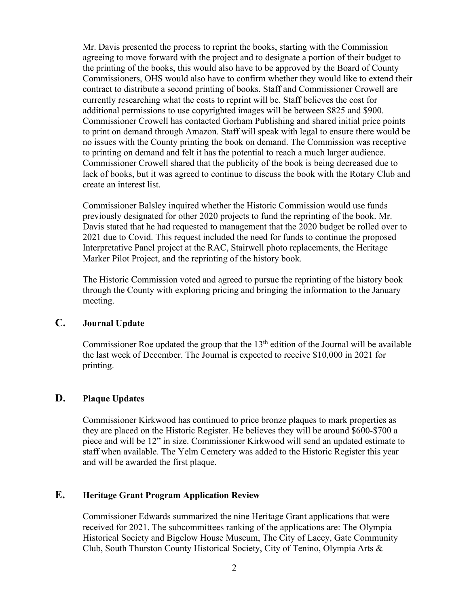Mr. Davis presented the process to reprint the books, starting with the Commission agreeing to move forward with the project and to designate a portion of their budget to the printing of the books, this would also have to be approved by the Board of County Commissioners, OHS would also have to confirm whether they would like to extend their contract to distribute a second printing of books. Staff and Commissioner Crowell are currently researching what the costs to reprint will be. Staff believes the cost for additional permissions to use copyrighted images will be between \$825 and \$900. Commissioner Crowell has contacted Gorham Publishing and shared initial price points to print on demand through Amazon. Staff will speak with legal to ensure there would be no issues with the County printing the book on demand. The Commission was receptive to printing on demand and felt it has the potential to reach a much larger audience. Commissioner Crowell shared that the publicity of the book is being decreased due to lack of books, but it was agreed to continue to discuss the book with the Rotary Club and create an interest list.

Commissioner Balsley inquired whether the Historic Commission would use funds previously designated for other 2020 projects to fund the reprinting of the book. Mr. Davis stated that he had requested to management that the 2020 budget be rolled over to 2021 due to Covid. This request included the need for funds to continue the proposed Interpretative Panel project at the RAC, Stairwell photo replacements, the Heritage Marker Pilot Project, and the reprinting of the history book.

The Historic Commission voted and agreed to pursue the reprinting of the history book through the County with exploring pricing and bringing the information to the January meeting.

## **C. Journal Update**

Commissioner Roe updated the group that the  $13<sup>th</sup>$  edition of the Journal will be available the last week of December. The Journal is expected to receive \$10,000 in 2021 for printing.

## **D. Plaque Updates**

Commissioner Kirkwood has continued to price bronze plaques to mark properties as they are placed on the Historic Register. He believes they will be around \$600-\$700 a piece and will be 12" in size. Commissioner Kirkwood will send an updated estimate to staff when available. The Yelm Cemetery was added to the Historic Register this year and will be awarded the first plaque.

## **E. Heritage Grant Program Application Review**

Commissioner Edwards summarized the nine Heritage Grant applications that were received for 2021. The subcommittees ranking of the applications are: The Olympia Historical Society and Bigelow House Museum, The City of Lacey, Gate Community Club, South Thurston County Historical Society, City of Tenino, Olympia Arts &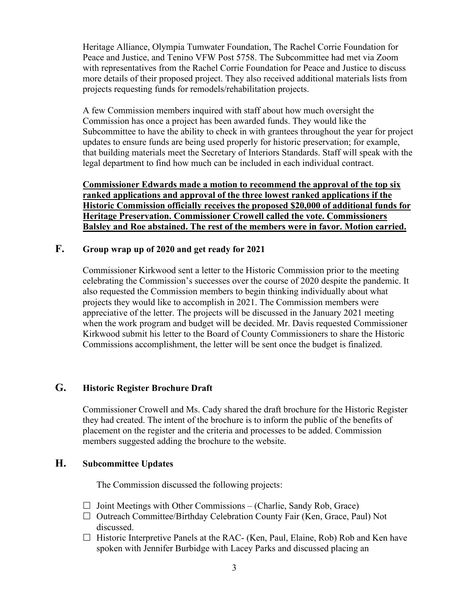Heritage Alliance, Olympia Tumwater Foundation, The Rachel Corrie Foundation for Peace and Justice, and Tenino VFW Post 5758. The Subcommittee had met via Zoom with representatives from the Rachel Corrie Foundation for Peace and Justice to discuss more details of their proposed project. They also received additional materials lists from projects requesting funds for remodels/rehabilitation projects.

A few Commission members inquired with staff about how much oversight the Commission has once a project has been awarded funds. They would like the Subcommittee to have the ability to check in with grantees throughout the year for project updates to ensure funds are being used properly for historic preservation; for example, that building materials meet the Secretary of Interiors Standards. Staff will speak with the legal department to find how much can be included in each individual contract.

**Commissioner Edwards made a motion to recommend the approval of the top six ranked applications and approval of the three lowest ranked applications if the Historic Commission officially receives the proposed \$20,000 of additional funds for Heritage Preservation. Commissioner Crowell called the vote. Commissioners Balsley and Roe abstained. The rest of the members were in favor. Motion carried.**

## **F. Group wrap up of 2020 and get ready for 2021**

Commissioner Kirkwood sent a letter to the Historic Commission prior to the meeting celebrating the Commission's successes over the course of 2020 despite the pandemic. It also requested the Commission members to begin thinking individually about what projects they would like to accomplish in 2021. The Commission members were appreciative of the letter. The projects will be discussed in the January 2021 meeting when the work program and budget will be decided. Mr. Davis requested Commissioner Kirkwood submit his letter to the Board of County Commissioners to share the Historic Commissions accomplishment, the letter will be sent once the budget is finalized.

## **G. Historic Register Brochure Draft**

Commissioner Crowell and Ms. Cady shared the draft brochure for the Historic Register they had created. The intent of the brochure is to inform the public of the benefits of placement on the register and the criteria and processes to be added. Commission members suggested adding the brochure to the website.

## **H. Subcommittee Updates**

The Commission discussed the following projects:

- $\Box$  Joint Meetings with Other Commissions (Charlie, Sandy Rob, Grace)
- $\Box$  Outreach Committee/Birthday Celebration County Fair (Ken, Grace, Paul) Not discussed.
- $\Box$  Historic Interpretive Panels at the RAC- (Ken, Paul, Elaine, Rob) Rob and Ken have spoken with Jennifer Burbidge with Lacey Parks and discussed placing an